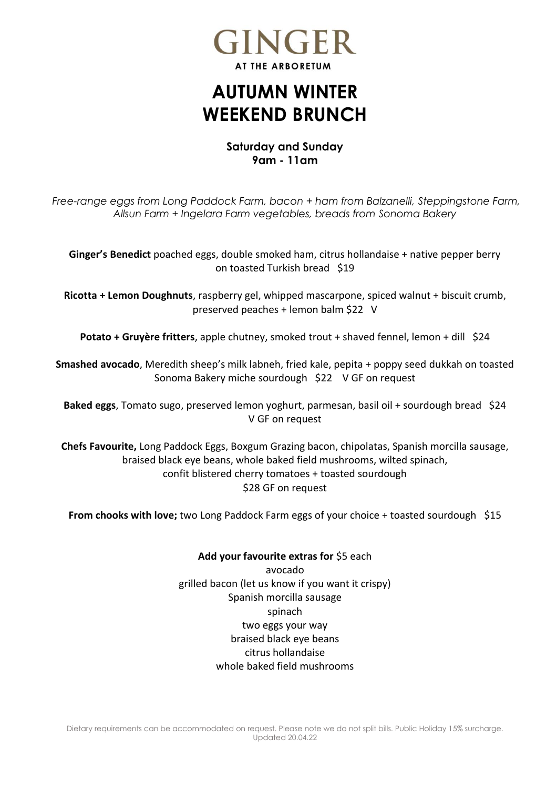

## **AUTUMN WINTER WEEKEND BRUNCH**

## **Saturday and Sunday 9am - 11am**

*Free-range eggs from Long Paddock Farm, bacon + ham from Balzanelli, Steppingstone Farm, Allsun Farm + Ingelara Farm vegetables, breads from Sonoma Bakery* 

**Ginger's Benedict** poached eggs, double smoked ham, citrus hollandaise + native pepper berry on toasted Turkish bread \$19

**Ricotta + Lemon Doughnuts**, raspberry gel, whipped mascarpone, spiced walnut + biscuit crumb, preserved peaches + lemon balm \$22 V

**Potato + Gruyère fritters**, apple chutney, smoked trout + shaved fennel, lemon + dill \$24

**Smashed avocado**, Meredith sheep's milk labneh, fried kale, pepita + poppy seed dukkah on toasted Sonoma Bakery miche sourdough \$22 V GF on request

**Baked eggs**, Tomato sugo, preserved lemon yoghurt, parmesan, basil oil + sourdough bread \$24 V GF on request

**Chefs Favourite,** Long Paddock Eggs, Boxgum Grazing bacon, chipolatas, Spanish morcilla sausage, braised black eye beans, whole baked field mushrooms, wilted spinach, confit blistered cherry tomatoes + toasted sourdough \$28 GF on request

**From chooks with love;** two Long Paddock Farm eggs of your choice + toasted sourdough \$15

**Add your favourite extras for** \$5 each avocado grilled bacon (let us know if you want it crispy) Spanish morcilla sausage spinach two eggs your way braised black eye beans citrus hollandaise whole baked field mushrooms